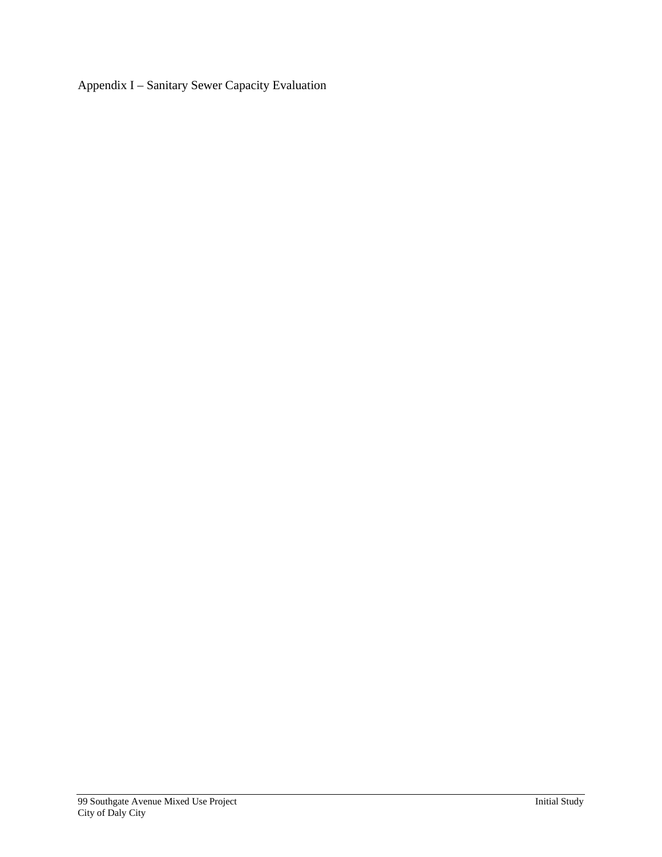Appendix I – Sanitary Sewer Capacity Evaluation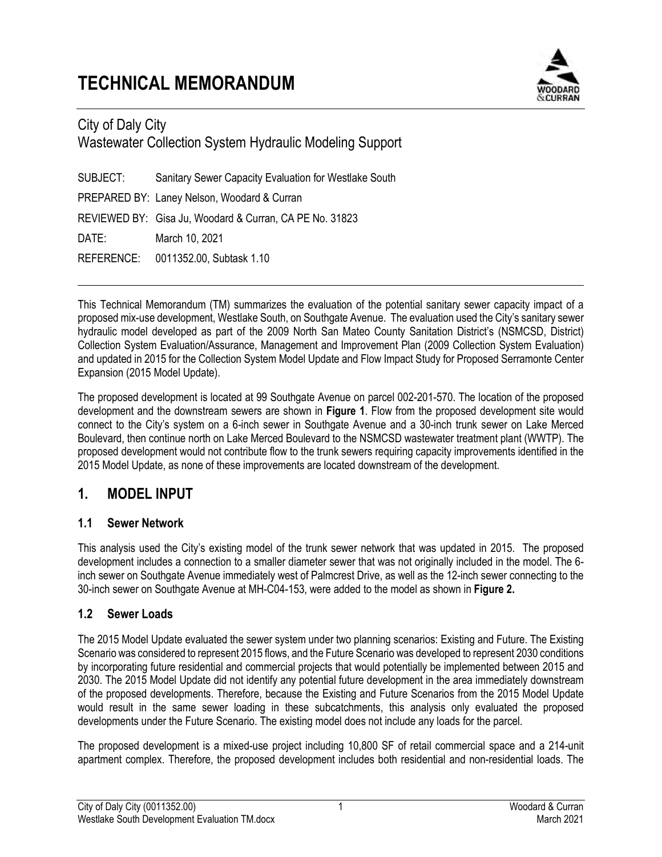# **TECHNICAL MEMORANDUM**



## City of Daly City Wastewater Collection System Hydraulic Modeling Support

SUBJECT: Sanitary Sewer Capacity Evaluation for Westlake South PREPARED BY: Laney Nelson, Woodard & Curran REVIEWED BY: Gisa Ju, Woodard & Curran, CA PE No. 31823 DATE: March 10, 2021 REFERENCE: 0011352.00, Subtask 1.10

This Technical Memorandum (TM) summarizes the evaluation of the potential sanitary sewer capacity impact of a proposed mix-use development, Westlake South, on Southgate Avenue. The evaluation used the City's sanitary sewer hydraulic model developed as part of the 2009 North San Mateo County Sanitation District's (NSMCSD, District) Collection System Evaluation/Assurance, Management and Improvement Plan (2009 Collection System Evaluation) and updated in 2015 for the Collection System Model Update and Flow Impact Study for Proposed Serramonte Center Expansion (2015 Model Update).

The proposed development is located at 99 Southgate Avenue on parcel 002-201-570. The location of the proposed development and the downstream sewers are shown in **Figure 1**. Flow from the proposed development site would connect to the City's system on a 6-inch sewer in Southgate Avenue and a 30-inch trunk sewer on Lake Merced Boulevard, then continue north on Lake Merced Boulevard to the NSMCSD wastewater treatment plant (WWTP). The proposed development would not contribute flow to the trunk sewers requiring capacity improvements identified in the 2015 Model Update, as none of these improvements are located downstream of the development.

## **1. MODEL INPUT**

#### **1.1 Sewer Network**

This analysis used the City's existing model of the trunk sewer network that was updated in 2015. The proposed development includes a connection to a smaller diameter sewer that was not originally included in the model. The 6 inch sewer on Southgate Avenue immediately west of Palmcrest Drive, as well as the 12-inch sewer connecting to the 30-inch sewer on Southgate Avenue at MH-C04-153, were added to the model as shown in **Figure 2.**

#### **1.2 Sewer Loads**

The 2015 Model Update evaluated the sewer system under two planning scenarios: Existing and Future. The Existing Scenario was considered to represent 2015 flows, and the Future Scenario was developed to represent 2030 conditions by incorporating future residential and commercial projects that would potentially be implemented between 2015 and 2030. The 2015 Model Update did not identify any potential future development in the area immediately downstream of the proposed developments. Therefore, because the Existing and Future Scenarios from the 2015 Model Update would result in the same sewer loading in these subcatchments, this analysis only evaluated the proposed developments under the Future Scenario. The existing model does not include any loads for the parcel.

The proposed development is a mixed-use project including 10,800 SF of retail commercial space and a 214-unit apartment complex. Therefore, the proposed development includes both residential and non-residential loads. The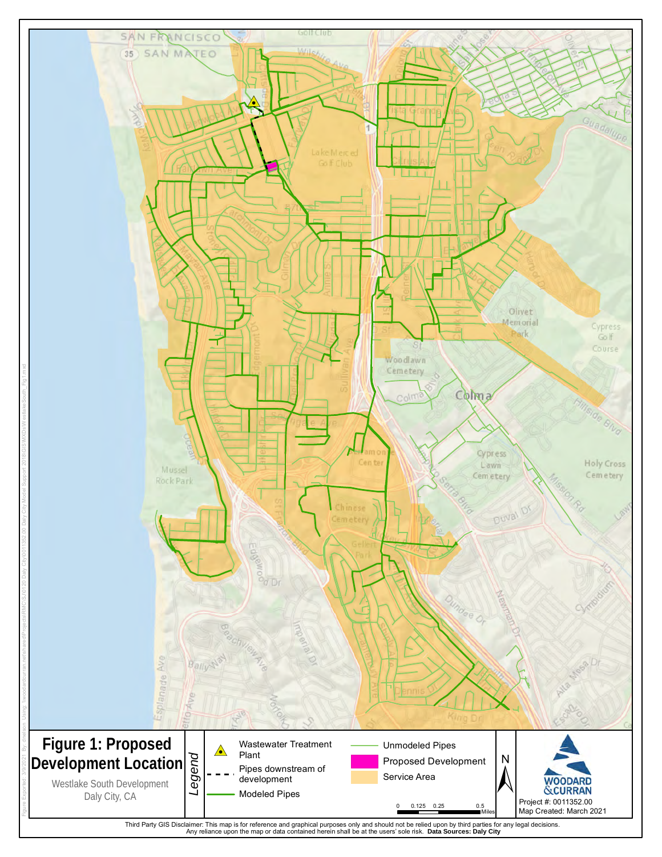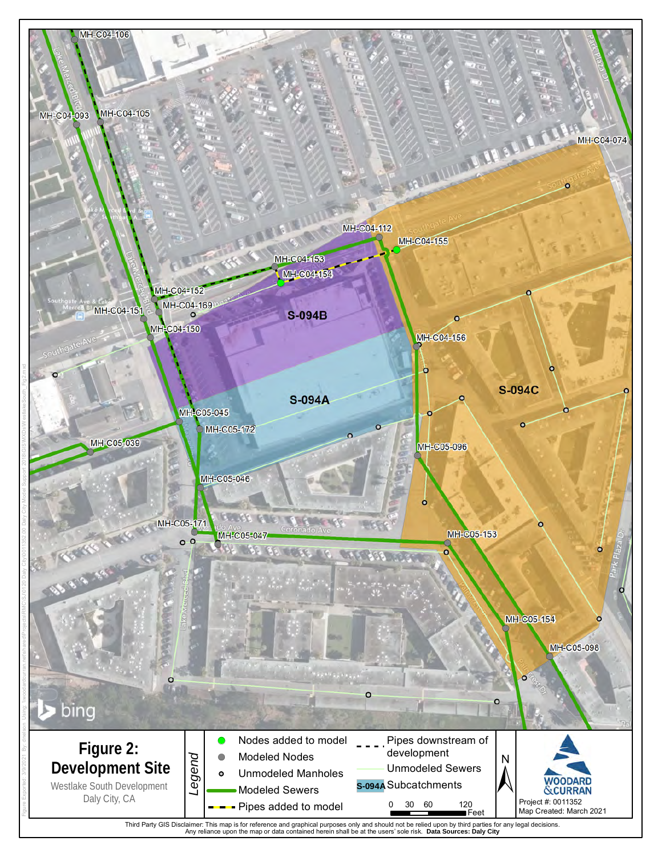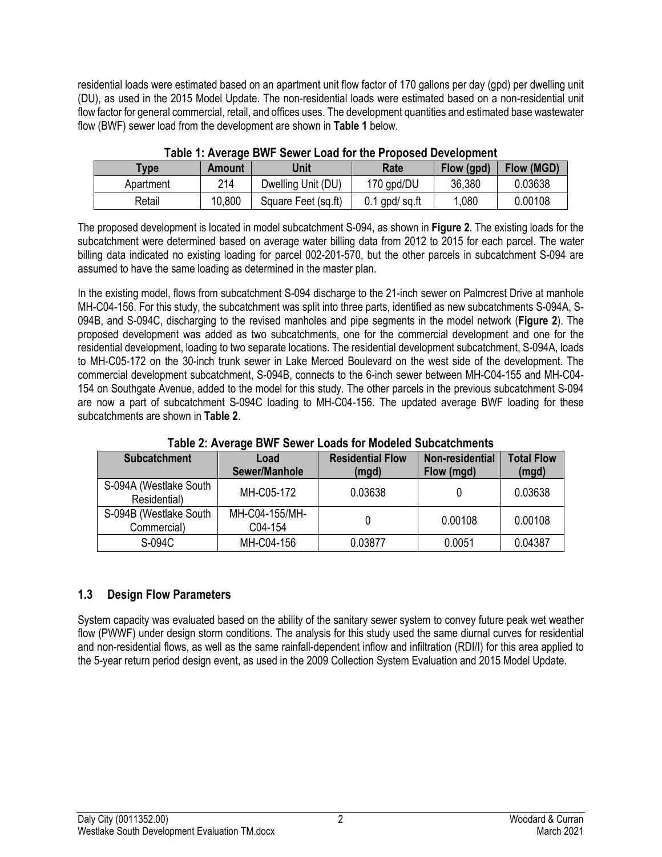residential loads were estimated based on an apartment unit flow factor of 170 gallons per day (gpd) per dwelling unit (DU), as used in the 2015 Model Update. The non-residential loads were estimated based on a non-residential unit flow factor for general commercial, retail, and offices uses. The development quantities and estimated base wastewater flow (BWF) sewer load from the development are shown in **Table 1** below.

| <b>TWIS TEATURE DITE VEHICLE CAN TOF THE FRONT DETERMINING</b> |               |                     |                 |            |            |  |  |  |
|----------------------------------------------------------------|---------------|---------------------|-----------------|------------|------------|--|--|--|
| <b>Vpe</b>                                                     | <b>Amount</b> | Unit                | Rate            | Flow (gpd) | Flow (MGD) |  |  |  |
| Apartment                                                      | 214           | Dwelling Unit (DU)  | 170 gpd/DU      | 36,380     | 0.03638    |  |  |  |
| Retail                                                         | 10.800        | Square Feet (sq.ft) | $0.1$ gpd/sq.ft | 1,080      | 0.00108    |  |  |  |

**Table 1: Average BWF Sewer Load for the Proposed Development** 

The proposed development is located in model subcatchment S-094, as shown in **Figure 2**. The existing loads for the subcatchment were determined based on average water billing data from 2012 to 2015 for each parcel. The water billing data indicated no existing loading for parcel 002-201-570, but the other parcels in subcatchment S-094 are assumed to have the same loading as determined in the master plan.

In the existing model, flows from subcatchment S-094 discharge to the 21-inch sewer on Palmcrest Drive at manhole MH-C04-156. For this study, the subcatchment was split into three parts, identified as new subcatchments S-094A, S-094B, and S-094C, discharging to the revised manholes and pipe segments in the model network (**Figure 2**). The proposed development was added as two subcatchments, one for the commercial development and one for the residential development, loading to two separate locations. The residential development subcatchment, S-094A, loads to MH-C05-172 on the 30-inch trunk sewer in Lake Merced Boulevard on the west side of the development. The commercial development subcatchment, S-094B, connects to the 6-inch sewer between MH-C04-155 and MH-C04- 154 on Southgate Avenue, added to the model for this study. The other parcels in the previous subcatchment S-094 are now a part of subcatchment S-094C loading to MH-C04-156. The updated average BWF loading for these subcatchments are shown in **Table 2**.

| <b>Subcatchment</b>                    | Load<br>Sewer/Manhole     | <b>Residential Flow</b><br>(mgd) | Non-residential<br>Flow (mgd) | <b>Total Flow</b><br>(mgd) |  |  |  |  |
|----------------------------------------|---------------------------|----------------------------------|-------------------------------|----------------------------|--|--|--|--|
| S-094A (Westlake South<br>Residential) | MH-C05-172                | 0.03638                          |                               | 0.03638                    |  |  |  |  |
| S-094B (Westlake South<br>Commercial)  | MH-C04-155/MH-<br>C04-154 |                                  | 0.00108                       | 0.00108                    |  |  |  |  |
| S-094C                                 | MH-C04-156                | 0.03877                          | 0.0051                        | 0.04387                    |  |  |  |  |

**Table 2: Average BWF Sewer Loads for Modeled Subcatchments** 

#### **1.3 Design Flow Parameters**

System capacity was evaluated based on the ability of the sanitary sewer system to convey future peak wet weather flow (PWWF) under design storm conditions. The analysis for this study used the same diurnal curves for residential and non-residential flows, as well as the same rainfall-dependent inflow and infiltration (RDI/I) for this area applied to the 5-year return period design event, as used in the 2009 Collection System Evaluation and 2015 Model Update.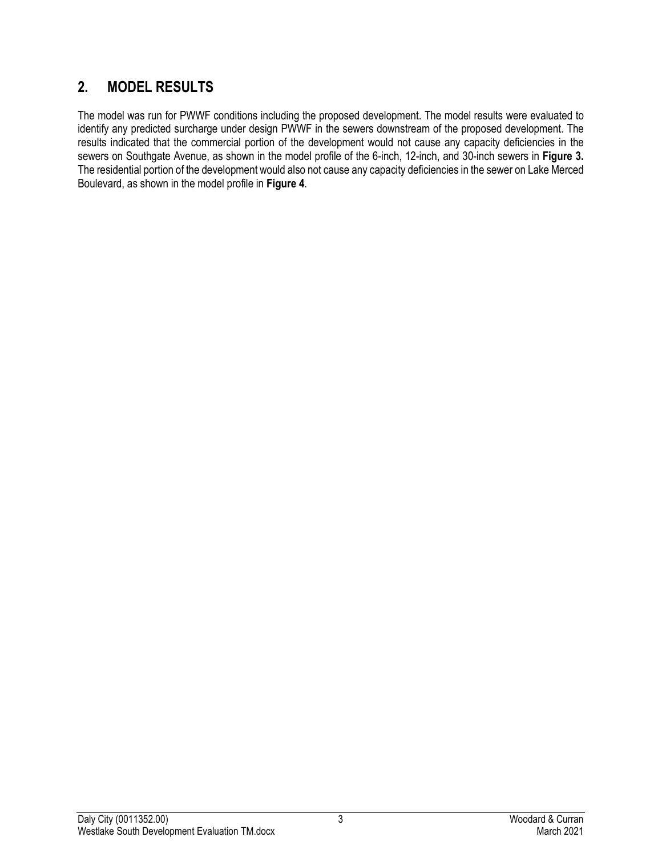# **2. MODEL RESULTS**

The model was run for PWWF conditions including the proposed development. The model results were evaluated to identify any predicted surcharge under design PWWF in the sewers downstream of the proposed development. The results indicated that the commercial portion of the development would not cause any capacity deficiencies in the sewers on Southgate Avenue, as shown in the model profile of the 6-inch, 12-inch, and 30-inch sewers in **Figure 3.**  The residential portion of the development would also not cause any capacity deficiencies in the sewer on Lake Merced Boulevard, as shown in the model profile in **Figure 4**.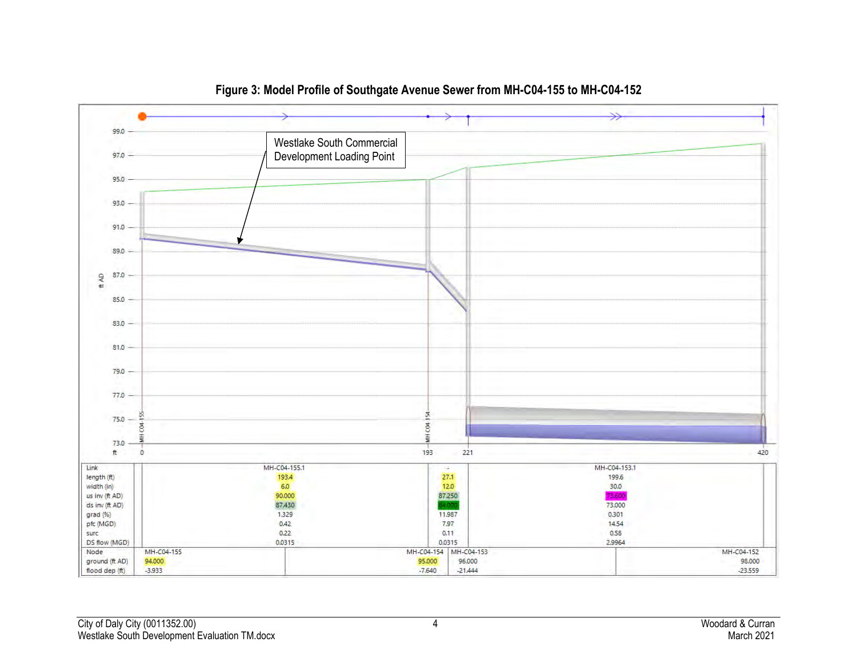